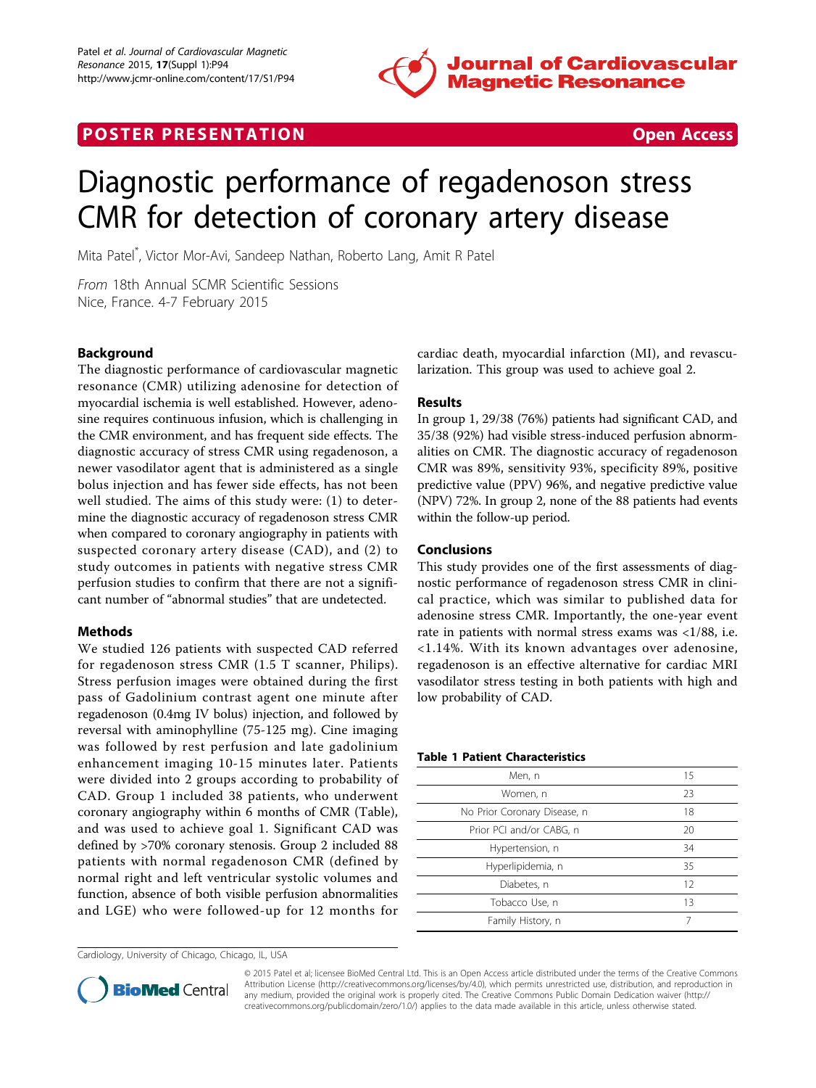

# **POSTER PRESENTATION CONSUMING THE SECOND CONSUMING THE SECOND CONSUMING THE SECOND CONSUMING THE SECOND CONSUMING THE SECOND CONSUMING THE SECOND CONSUMING THE SECOND CONSUMING THE SECOND CONSUMING THE SECOND CONSUMING**



# Diagnostic performance of regadenoson stress CMR for detection of coronary artery disease

Mita Patel\* , Victor Mor-Avi, Sandeep Nathan, Roberto Lang, Amit R Patel

From 18th Annual SCMR Scientific Sessions Nice, France. 4-7 February 2015

# Background

The diagnostic performance of cardiovascular magnetic resonance (CMR) utilizing adenosine for detection of myocardial ischemia is well established. However, adenosine requires continuous infusion, which is challenging in the CMR environment, and has frequent side effects. The diagnostic accuracy of stress CMR using regadenoson, a newer vasodilator agent that is administered as a single bolus injection and has fewer side effects, has not been well studied. The aims of this study were: (1) to determine the diagnostic accuracy of regadenoson stress CMR when compared to coronary angiography in patients with suspected coronary artery disease (CAD), and (2) to study outcomes in patients with negative stress CMR perfusion studies to confirm that there are not a significant number of "abnormal studies" that are undetected.

# Methods

We studied 126 patients with suspected CAD referred for regadenoson stress CMR (1.5 T scanner, Philips). Stress perfusion images were obtained during the first pass of Gadolinium contrast agent one minute after regadenoson (0.4mg IV bolus) injection, and followed by reversal with aminophylline (75-125 mg). Cine imaging was followed by rest perfusion and late gadolinium enhancement imaging 10-15 minutes later. Patients were divided into 2 groups according to probability of CAD. Group 1 included 38 patients, who underwent coronary angiography within 6 months of CMR (Table), and was used to achieve goal 1. Significant CAD was defined by >70% coronary stenosis. Group 2 included 88 patients with normal regadenoson CMR (defined by normal right and left ventricular systolic volumes and function, absence of both visible perfusion abnormalities and LGE) who were followed-up for 12 months for

Cardiology, University of Chicago, Chicago, IL, USA

cardiac death, myocardial infarction (MI), and revascularization. This group was used to achieve goal 2.

#### Results

In group 1, 29/38 (76%) patients had significant CAD, and 35/38 (92%) had visible stress-induced perfusion abnormalities on CMR. The diagnostic accuracy of regadenoson CMR was 89%, sensitivity 93%, specificity 89%, positive predictive value (PPV) 96%, and negative predictive value (NPV) 72%. In group 2, none of the 88 patients had events within the follow-up period.

#### Conclusions

This study provides one of the first assessments of diagnostic performance of regadenoson stress CMR in clinical practice, which was similar to published data for adenosine stress CMR. Importantly, the one-year event rate in patients with normal stress exams was <1/88, i.e. <1.14%. With its known advantages over adenosine, regadenoson is an effective alternative for cardiac MRI vasodilator stress testing in both patients with high and low probability of CAD.

#### Table 1 Patient Characteristics

| Men, n                       | 15 |
|------------------------------|----|
| Women, n                     | 23 |
| No Prior Coronary Disease, n | 18 |
| Prior PCI and/or CABG, n     | 20 |
| Hypertension, n              | 34 |
| Hyperlipidemia, n            | 35 |
| Diabetes, n                  | 12 |
| Tobacco Use, n               | 13 |
| Family History, n            |    |



© 2015 Patel et al; licensee BioMed Central Ltd. This is an Open Access article distributed under the terms of the Creative Commons Attribution License [\(http://creativecommons.org/licenses/by/4.0](http://creativecommons.org/licenses/by/4.0)), which permits unrestricted use, distribution, and reproduction in any medium, provided the original work is properly cited. The Creative Commons Public Domain Dedication waiver [\(http://](http://creativecommons.org/publicdomain/zero/1.0/) [creativecommons.org/publicdomain/zero/1.0/](http://creativecommons.org/publicdomain/zero/1.0/)) applies to the data made available in this article, unless otherwise stated.